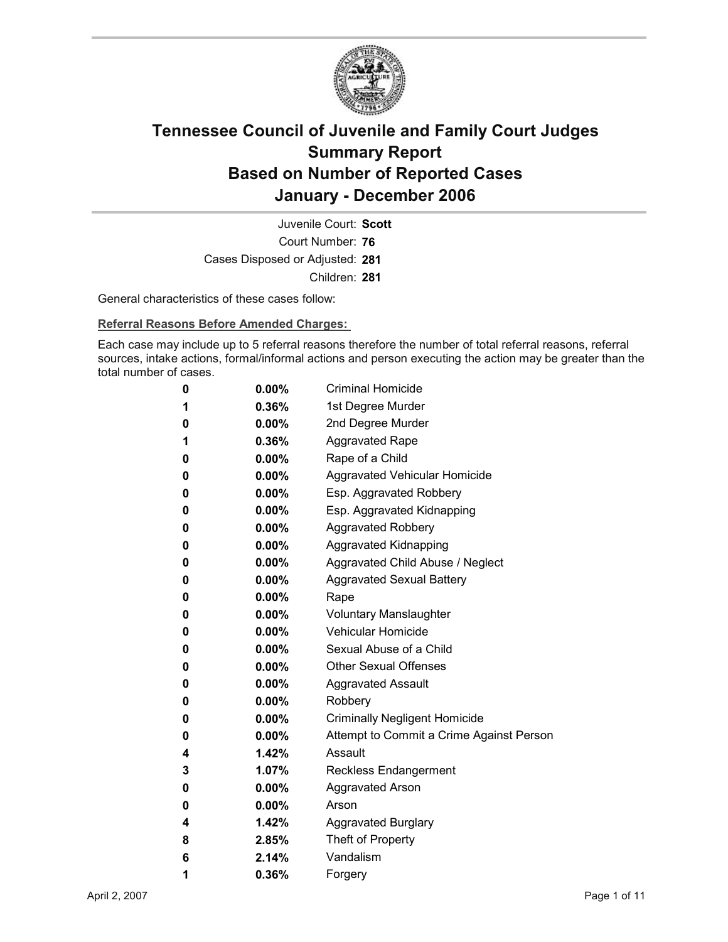

Court Number: **76** Juvenile Court: **Scott** Cases Disposed or Adjusted: **281** Children: **281**

General characteristics of these cases follow:

**Referral Reasons Before Amended Charges:** 

Each case may include up to 5 referral reasons therefore the number of total referral reasons, referral sources, intake actions, formal/informal actions and person executing the action may be greater than the total number of cases.

| 0 | $0.00\%$ | <b>Criminal Homicide</b>                 |
|---|----------|------------------------------------------|
| 1 | 0.36%    | 1st Degree Murder                        |
| 0 | $0.00\%$ | 2nd Degree Murder                        |
| 1 | $0.36\%$ | <b>Aggravated Rape</b>                   |
| 0 | $0.00\%$ | Rape of a Child                          |
| 0 | 0.00%    | Aggravated Vehicular Homicide            |
| 0 | $0.00\%$ | Esp. Aggravated Robbery                  |
| 0 | $0.00\%$ | Esp. Aggravated Kidnapping               |
| 0 | 0.00%    | <b>Aggravated Robbery</b>                |
| 0 | $0.00\%$ | <b>Aggravated Kidnapping</b>             |
| 0 | $0.00\%$ | Aggravated Child Abuse / Neglect         |
| 0 | $0.00\%$ | <b>Aggravated Sexual Battery</b>         |
| 0 | $0.00\%$ | Rape                                     |
| 0 | $0.00\%$ | <b>Voluntary Manslaughter</b>            |
| 0 | $0.00\%$ | <b>Vehicular Homicide</b>                |
| 0 | $0.00\%$ | Sexual Abuse of a Child                  |
| 0 | $0.00\%$ | <b>Other Sexual Offenses</b>             |
| 0 | $0.00\%$ | <b>Aggravated Assault</b>                |
| 0 | 0.00%    | Robbery                                  |
| 0 | $0.00\%$ | <b>Criminally Negligent Homicide</b>     |
| 0 | 0.00%    | Attempt to Commit a Crime Against Person |
| 4 | 1.42%    | Assault                                  |
| 3 | $1.07\%$ | <b>Reckless Endangerment</b>             |
| 0 | 0.00%    | <b>Aggravated Arson</b>                  |
| 0 | $0.00\%$ | Arson                                    |
| 4 | 1.42%    | <b>Aggravated Burglary</b>               |
| 8 | 2.85%    | Theft of Property                        |
| 6 | 2.14%    | Vandalism                                |
| 1 | 0.36%    | Forgery                                  |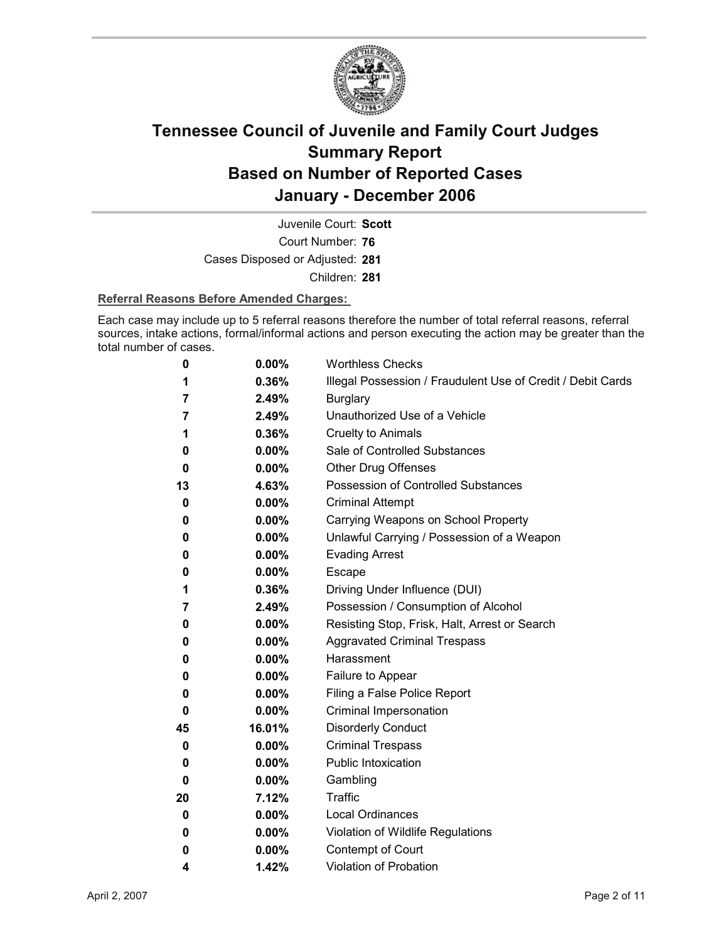

Court Number: **76** Juvenile Court: **Scott** Cases Disposed or Adjusted: **281** Children: **281**

### **Referral Reasons Before Amended Charges:**

Each case may include up to 5 referral reasons therefore the number of total referral reasons, referral sources, intake actions, formal/informal actions and person executing the action may be greater than the total number of cases.

| 0  | 0.00%    | <b>Worthless Checks</b>                                     |
|----|----------|-------------------------------------------------------------|
| 1  | 0.36%    | Illegal Possession / Fraudulent Use of Credit / Debit Cards |
| 7  | 2.49%    | <b>Burglary</b>                                             |
| 7  | 2.49%    | Unauthorized Use of a Vehicle                               |
| 1  | 0.36%    | <b>Cruelty to Animals</b>                                   |
| 0  | 0.00%    | Sale of Controlled Substances                               |
| 0  | $0.00\%$ | Other Drug Offenses                                         |
| 13 | 4.63%    | <b>Possession of Controlled Substances</b>                  |
| 0  | $0.00\%$ | <b>Criminal Attempt</b>                                     |
| 0  | 0.00%    | Carrying Weapons on School Property                         |
| 0  | $0.00\%$ | Unlawful Carrying / Possession of a Weapon                  |
| 0  | 0.00%    | <b>Evading Arrest</b>                                       |
| 0  | $0.00\%$ | <b>Escape</b>                                               |
| 1  | 0.36%    | Driving Under Influence (DUI)                               |
| 7  | 2.49%    | Possession / Consumption of Alcohol                         |
| 0  | 0.00%    | Resisting Stop, Frisk, Halt, Arrest or Search               |
| 0  | $0.00\%$ | <b>Aggravated Criminal Trespass</b>                         |
| 0  | 0.00%    | Harassment                                                  |
| 0  | $0.00\%$ | Failure to Appear                                           |
| 0  | 0.00%    | Filing a False Police Report                                |
| 0  | $0.00\%$ | Criminal Impersonation                                      |
| 45 | 16.01%   | <b>Disorderly Conduct</b>                                   |
| 0  | 0.00%    | <b>Criminal Trespass</b>                                    |
| 0  | 0.00%    | Public Intoxication                                         |
| 0  | $0.00\%$ | Gambling                                                    |
| 20 | 7.12%    | <b>Traffic</b>                                              |
| 0  | 0.00%    | Local Ordinances                                            |
| 0  | 0.00%    | Violation of Wildlife Regulations                           |
| 0  | $0.00\%$ | <b>Contempt of Court</b>                                    |
| 4  | 1.42%    | <b>Violation of Probation</b>                               |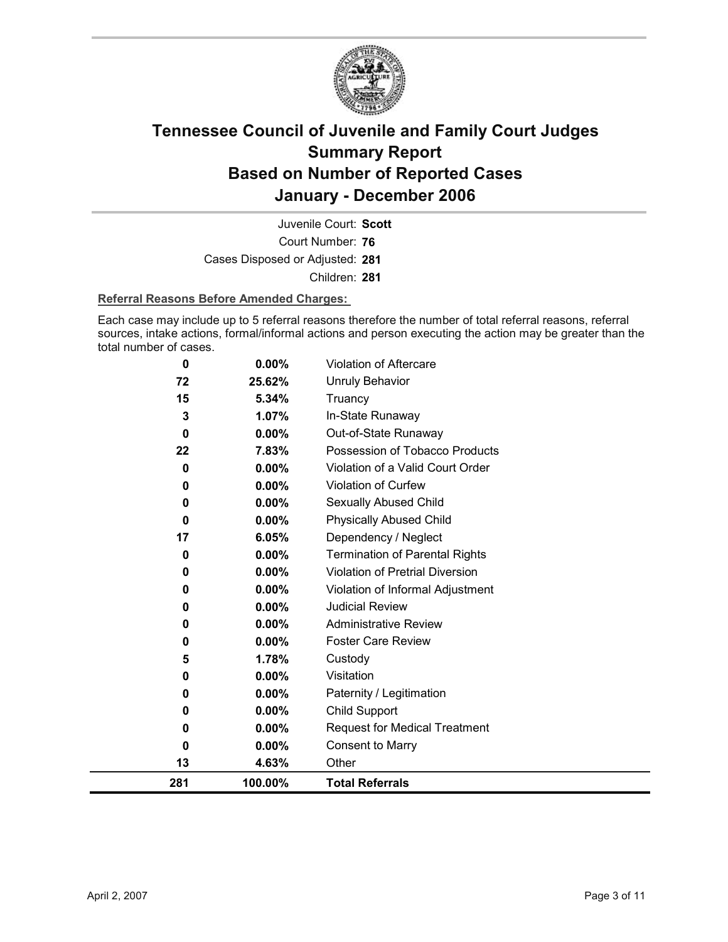

Court Number: **76** Juvenile Court: **Scott** Cases Disposed or Adjusted: **281** Children: **281**

### **Referral Reasons Before Amended Charges:**

Each case may include up to 5 referral reasons therefore the number of total referral reasons, referral sources, intake actions, formal/informal actions and person executing the action may be greater than the total number of cases.

| 0        | 0.00%    | Violation of Aftercare                 |
|----------|----------|----------------------------------------|
| 72       | 25.62%   | <b>Unruly Behavior</b>                 |
| 15       | 5.34%    | Truancy                                |
| 3        | 1.07%    | In-State Runaway                       |
| 0        | 0.00%    | Out-of-State Runaway                   |
| 22       | 7.83%    | Possession of Tobacco Products         |
| 0        | 0.00%    | Violation of a Valid Court Order       |
| 0        | 0.00%    | Violation of Curfew                    |
| 0        | 0.00%    | Sexually Abused Child                  |
| $\bf{0}$ | $0.00\%$ | <b>Physically Abused Child</b>         |
| 17       | 6.05%    | Dependency / Neglect                   |
| 0        | 0.00%    | <b>Termination of Parental Rights</b>  |
| 0        | 0.00%    | <b>Violation of Pretrial Diversion</b> |
| 0        | 0.00%    | Violation of Informal Adjustment       |
| 0        | 0.00%    | <b>Judicial Review</b>                 |
| 0        | 0.00%    | <b>Administrative Review</b>           |
| 0        | $0.00\%$ | <b>Foster Care Review</b>              |
| 5        | 1.78%    | Custody                                |
| 0        | $0.00\%$ | Visitation                             |
| 0        | 0.00%    | Paternity / Legitimation               |
| 0        | 0.00%    | Child Support                          |
| 0        | $0.00\%$ | <b>Request for Medical Treatment</b>   |
| 0        | 0.00%    | <b>Consent to Marry</b>                |
| 13       | 4.63%    | Other                                  |
| 281      | 100.00%  | <b>Total Referrals</b>                 |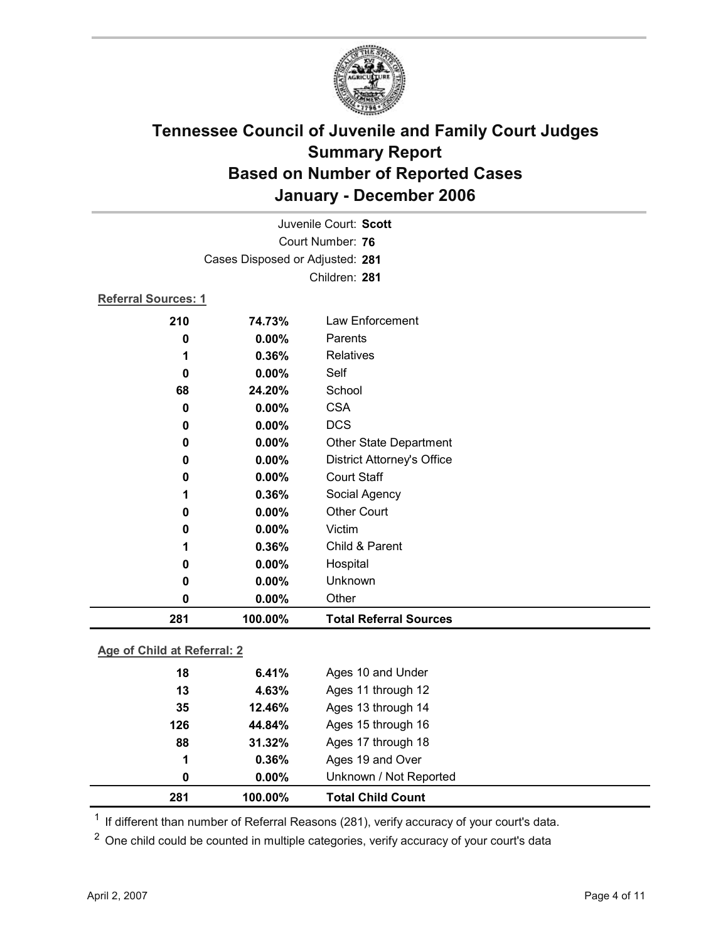

| 281                 | 100.00%                         | <b>Total Referral Sources</b>     |
|---------------------|---------------------------------|-----------------------------------|
| 0                   | 0.00%                           | Other                             |
| 0                   | 0.00%                           | Unknown                           |
| 0                   | 0.00%                           | Hospital                          |
| 1                   | 0.36%                           | Child & Parent                    |
| 0                   | 0.00%                           | Victim                            |
| 0                   | 0.00%                           | <b>Other Court</b>                |
| 1                   | 0.36%                           | Social Agency                     |
| 0                   | 0.00%                           | <b>Court Staff</b>                |
| 0                   | $0.00\%$                        | <b>District Attorney's Office</b> |
| 0                   | 0.00%                           | <b>Other State Department</b>     |
| 0                   | 0.00%                           | <b>DCS</b>                        |
| $\bf{0}$            | 0.00%                           | <b>CSA</b>                        |
| 68                  | 24.20%                          | School                            |
| 0                   | 0.00%                           | Self                              |
| 1                   | 0.36%                           | <b>Relatives</b>                  |
| 0                   | 0.00%                           | Parents                           |
| 210                 | 74.73%                          | Law Enforcement                   |
| Referral Sources: 1 |                                 |                                   |
|                     |                                 | Children: 281                     |
|                     | Cases Disposed or Adjusted: 281 |                                   |
|                     |                                 | Court Number: 76                  |
|                     |                                 |                                   |
|                     |                                 | Juvenile Court: Scott             |

**Age of Child at Referral: 2**

| 281 | 100.00%  | <b>Total Child Count</b> |
|-----|----------|--------------------------|
| 0   | $0.00\%$ | Unknown / Not Reported   |
| 1   | 0.36%    | Ages 19 and Over         |
| 88  | 31.32%   | Ages 17 through 18       |
| 126 | 44.84%   | Ages 15 through 16       |
| 35  | 12.46%   | Ages 13 through 14       |
| 13  | 4.63%    | Ages 11 through 12       |
| 18  | 6.41%    | Ages 10 and Under        |
|     |          |                          |

<sup>1</sup> If different than number of Referral Reasons (281), verify accuracy of your court's data.

<sup>2</sup> One child could be counted in multiple categories, verify accuracy of your court's data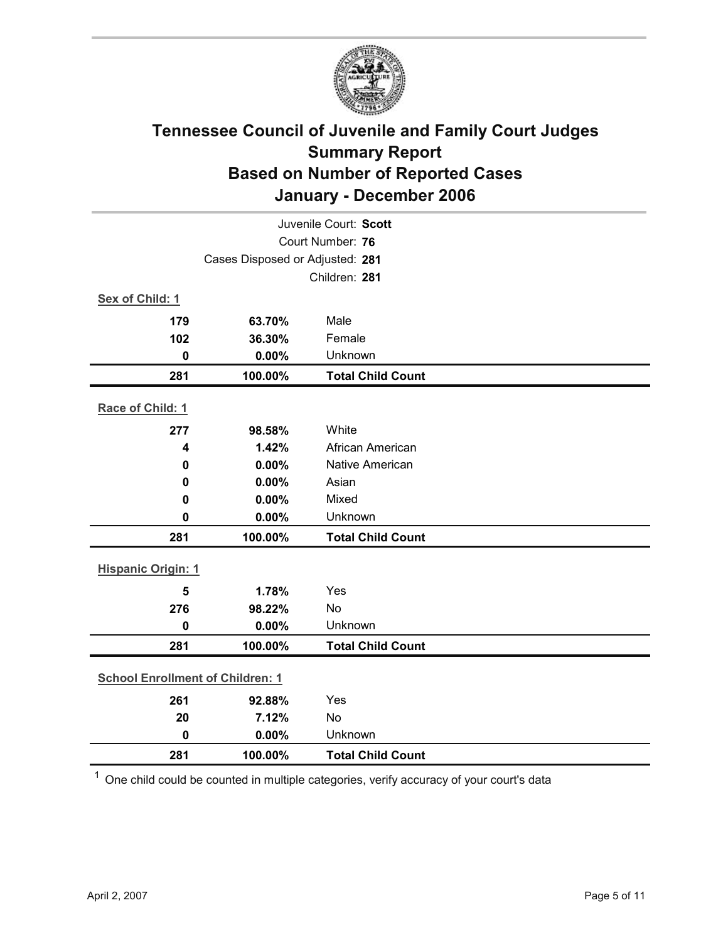

| Juvenile Court: Scott                   |                                            |                                 |  |  |  |  |
|-----------------------------------------|--------------------------------------------|---------------------------------|--|--|--|--|
|                                         | Court Number: 76                           |                                 |  |  |  |  |
|                                         | Cases Disposed or Adjusted: 281            |                                 |  |  |  |  |
|                                         |                                            | Children: 281                   |  |  |  |  |
| Sex of Child: 1                         |                                            |                                 |  |  |  |  |
| 179                                     | 63.70%                                     | Male                            |  |  |  |  |
| 102                                     | 36.30%                                     | Female                          |  |  |  |  |
| $\mathbf 0$                             | 0.00%                                      | Unknown                         |  |  |  |  |
| 281                                     | 100.00%                                    | <b>Total Child Count</b>        |  |  |  |  |
| Race of Child: 1                        |                                            |                                 |  |  |  |  |
|                                         |                                            |                                 |  |  |  |  |
| 277                                     | 98.58%                                     | White                           |  |  |  |  |
| 4                                       | 1.42%                                      | African American                |  |  |  |  |
| $\mathbf 0$                             | 0.00%<br>0.00%                             | <b>Native American</b><br>Asian |  |  |  |  |
| 0                                       | 0.00%                                      | Mixed                           |  |  |  |  |
| 0<br>$\mathbf 0$                        | 0.00%                                      | Unknown                         |  |  |  |  |
|                                         |                                            |                                 |  |  |  |  |
|                                         | 100.00%<br>281<br><b>Total Child Count</b> |                                 |  |  |  |  |
| <b>Hispanic Origin: 1</b>               |                                            |                                 |  |  |  |  |
| 5                                       | 1.78%                                      | Yes                             |  |  |  |  |
| 276                                     | 98.22%                                     | <b>No</b>                       |  |  |  |  |
| $\mathbf 0$                             | 0.00%                                      | Unknown                         |  |  |  |  |
| 281                                     | 100.00%                                    | <b>Total Child Count</b>        |  |  |  |  |
| <b>School Enrollment of Children: 1</b> |                                            |                                 |  |  |  |  |
|                                         |                                            |                                 |  |  |  |  |
| 261                                     | 92.88%                                     | Yes                             |  |  |  |  |
| 20                                      | 7.12%                                      | No                              |  |  |  |  |
| $\mathbf 0$                             | 0.00%                                      | Unknown                         |  |  |  |  |
| 281                                     | 100.00%                                    | <b>Total Child Count</b>        |  |  |  |  |

 $1$  One child could be counted in multiple categories, verify accuracy of your court's data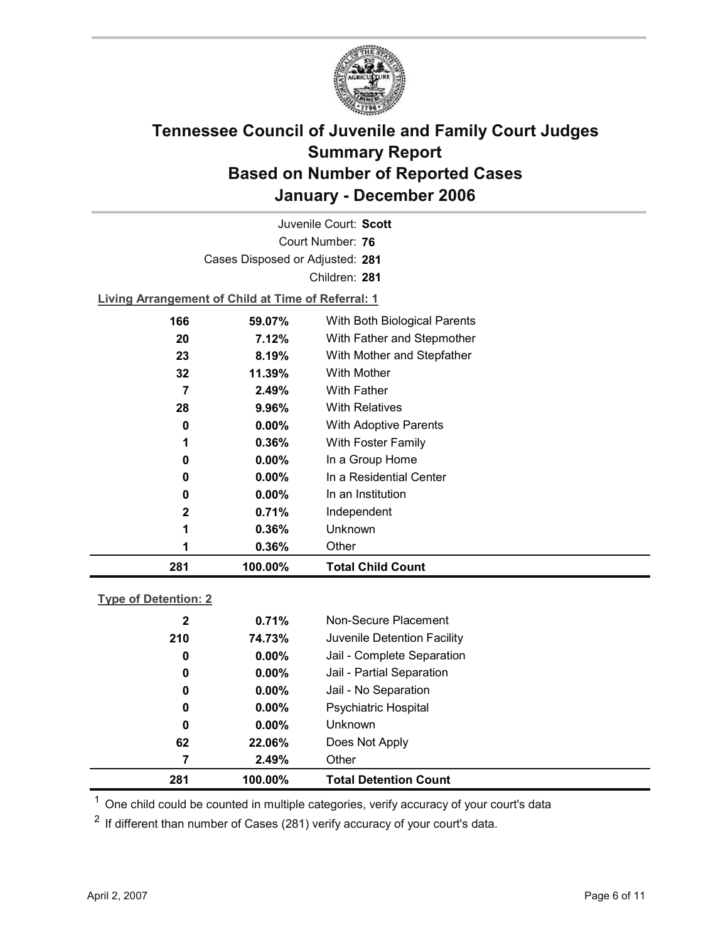

Court Number: **76** Juvenile Court: **Scott** Cases Disposed or Adjusted: **281** Children: **281 Living Arrangement of Child at Time of Referral: 1**

| 281          | 100.00%  | <b>Total Child Count</b>     |
|--------------|----------|------------------------------|
|              | 0.36%    | Other                        |
| 1            | 0.36%    | Unknown                      |
| $\mathbf{2}$ | 0.71%    | Independent                  |
| 0            | $0.00\%$ | In an Institution            |
| 0            | $0.00\%$ | In a Residential Center      |
| 0            | $0.00\%$ | In a Group Home              |
|              | 0.36%    | With Foster Family           |
| 0            | $0.00\%$ | <b>With Adoptive Parents</b> |
| 28           | 9.96%    | <b>With Relatives</b>        |
| 7            | 2.49%    | <b>With Father</b>           |
| 32           | 11.39%   | <b>With Mother</b>           |
| 23           | 8.19%    | With Mother and Stepfather   |
| 20           | 7.12%    | With Father and Stepmother   |
| 166          | 59.07%   | With Both Biological Parents |
|              |          |                              |

### **Type of Detention: 2**

| 281              | 100.00%  | <b>Total Detention Count</b> |
|------------------|----------|------------------------------|
| 7                | 2.49%    | Other                        |
| 62               | 22.06%   | Does Not Apply               |
| 0                | $0.00\%$ | <b>Unknown</b>               |
| 0                | $0.00\%$ | <b>Psychiatric Hospital</b>  |
| 0                | $0.00\%$ | Jail - No Separation         |
| $\boldsymbol{0}$ | $0.00\%$ | Jail - Partial Separation    |
| 0                | $0.00\%$ | Jail - Complete Separation   |
| 210              | 74.73%   | Juvenile Detention Facility  |
| $\mathbf{2}$     | 0.71%    | Non-Secure Placement         |
|                  |          |                              |

 $<sup>1</sup>$  One child could be counted in multiple categories, verify accuracy of your court's data</sup>

 $2$  If different than number of Cases (281) verify accuracy of your court's data.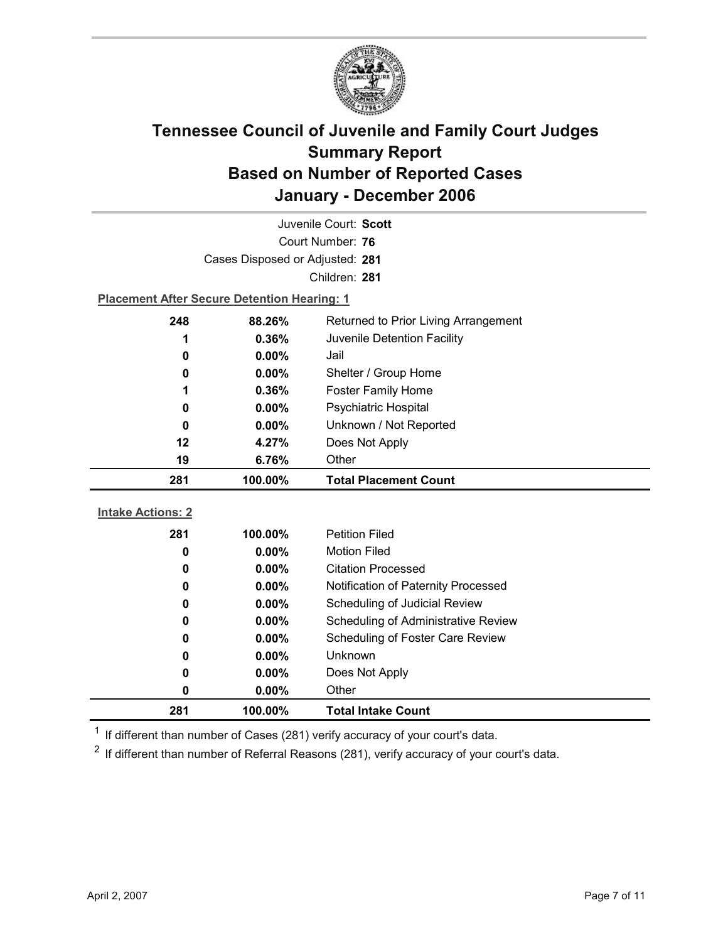

| Juvenile Court: Scott                          |                                                    |                                            |  |  |  |
|------------------------------------------------|----------------------------------------------------|--------------------------------------------|--|--|--|
| Court Number: 76                               |                                                    |                                            |  |  |  |
|                                                | Cases Disposed or Adjusted: 281                    |                                            |  |  |  |
|                                                |                                                    | Children: 281                              |  |  |  |
|                                                | <b>Placement After Secure Detention Hearing: 1</b> |                                            |  |  |  |
| 248                                            | 88.26%                                             | Returned to Prior Living Arrangement       |  |  |  |
| 1                                              | 0.36%                                              | Juvenile Detention Facility                |  |  |  |
| 0                                              | $0.00\%$                                           | Jail                                       |  |  |  |
| 0                                              | 0.00%                                              | Shelter / Group Home                       |  |  |  |
| 1                                              | 0.36%                                              | <b>Foster Family Home</b>                  |  |  |  |
| 0                                              | $0.00\%$                                           | Psychiatric Hospital                       |  |  |  |
| 0                                              | 0.00%                                              | Unknown / Not Reported                     |  |  |  |
| 12                                             | 4.27%                                              | Does Not Apply                             |  |  |  |
| 19                                             | 6.76%<br>Other                                     |                                            |  |  |  |
| 100.00%<br><b>Total Placement Count</b><br>281 |                                                    |                                            |  |  |  |
|                                                |                                                    |                                            |  |  |  |
|                                                |                                                    |                                            |  |  |  |
| <b>Intake Actions: 2</b>                       |                                                    |                                            |  |  |  |
| 281                                            | 100.00%                                            | <b>Petition Filed</b>                      |  |  |  |
| 0                                              | $0.00\%$                                           | <b>Motion Filed</b>                        |  |  |  |
| 0                                              | $0.00\%$                                           | <b>Citation Processed</b>                  |  |  |  |
| 0                                              | 0.00%                                              | Notification of Paternity Processed        |  |  |  |
| 0                                              | $0.00\%$                                           | Scheduling of Judicial Review              |  |  |  |
| 0                                              | 0.00%                                              | <b>Scheduling of Administrative Review</b> |  |  |  |
| 0                                              | 0.00%                                              | Scheduling of Foster Care Review           |  |  |  |
| 0                                              | $0.00\%$                                           | Unknown                                    |  |  |  |
| 0                                              | 0.00%                                              | Does Not Apply                             |  |  |  |
| 0<br>281                                       | 0.00%<br>100.00%                                   | Other<br><b>Total Intake Count</b>         |  |  |  |

 $1$  If different than number of Cases (281) verify accuracy of your court's data.

 $2$  If different than number of Referral Reasons (281), verify accuracy of your court's data.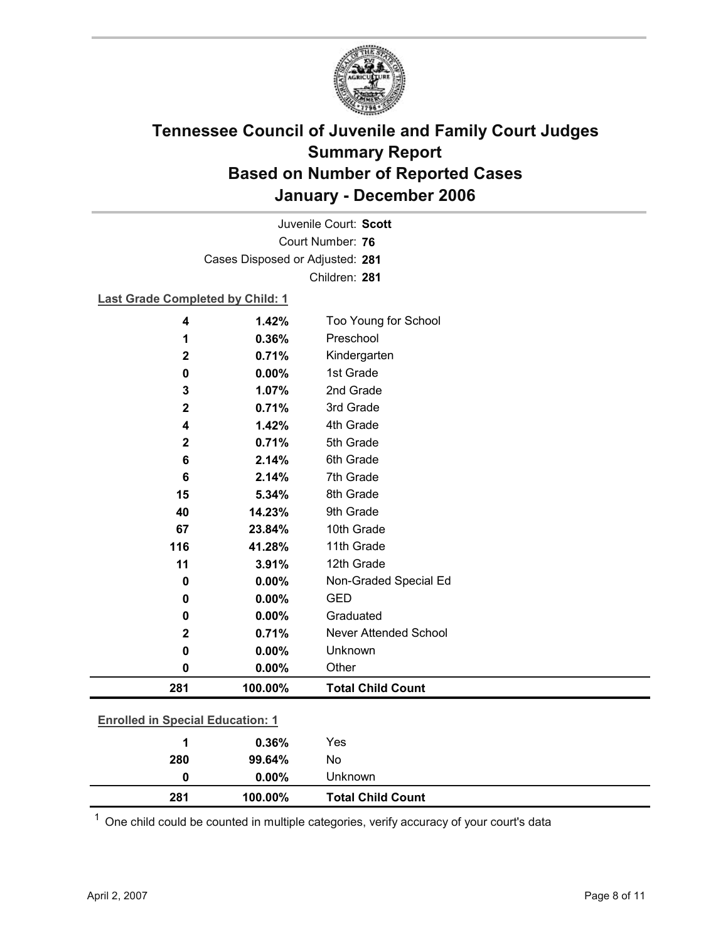

Court Number: **76** Juvenile Court: **Scott** Cases Disposed or Adjusted: **281** Children: **281**

### **Last Grade Completed by Child: 1**

| 4                                       | 1.42%         | Too Young for School     |
|-----------------------------------------|---------------|--------------------------|
| 1                                       | 0.36%         | Preschool                |
| $\mathbf{2}$                            | 0.71%         | Kindergarten             |
| 0                                       | 0.00%         | 1st Grade                |
| 3                                       | 1.07%         | 2nd Grade                |
| $\mathbf 2$                             | 0.71%         | 3rd Grade                |
| 4                                       | 1.42%         | 4th Grade                |
| $\mathbf 2$                             | 0.71%         | 5th Grade                |
| 6                                       | 2.14%         | 6th Grade                |
| 6                                       | 2.14%         | 7th Grade                |
| 15                                      | 5.34%         | 8th Grade                |
| 40                                      | 14.23%        | 9th Grade                |
| 67                                      | 23.84%        | 10th Grade               |
| 116                                     | 41.28%        | 11th Grade               |
| 11                                      | 3.91%         | 12th Grade               |
| $\bf{0}$                                | 0.00%         | Non-Graded Special Ed    |
| 0                                       | 0.00%         | <b>GED</b>               |
| 0                                       | 0.00%         | Graduated                |
| $\mathbf 2$                             | 0.71%         | Never Attended School    |
| 0                                       | 0.00%         | Unknown                  |
| $\mathbf 0$                             | 0.00%         | Other                    |
| 281                                     | 100.00%       | <b>Total Child Count</b> |
|                                         |               |                          |
| <b>Enrolled in Special Education: 1</b> |               |                          |
| и                                       | <b>0.3CO/</b> | $V_{\Omega}$             |

| 281 | 100.00%  | <b>Total Child Count</b> |  |
|-----|----------|--------------------------|--|
| 0   | $0.00\%$ | Unknown                  |  |
| 280 | 99.64%   | No                       |  |
|     | 0.36%    | Yes                      |  |

 $1$  One child could be counted in multiple categories, verify accuracy of your court's data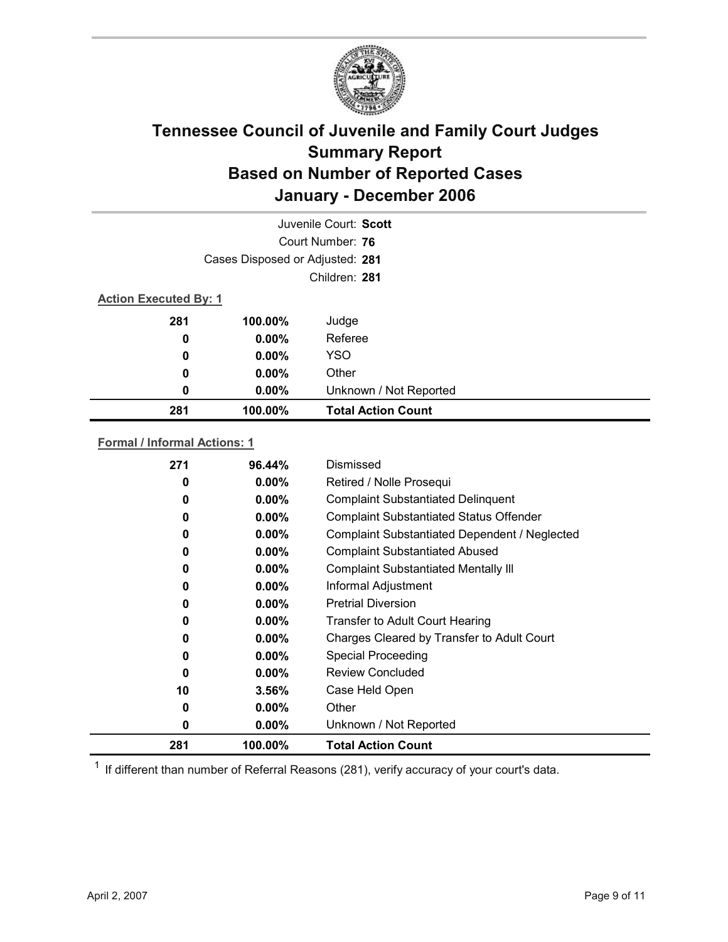

|                              |                                 | Juvenile Court: Scott     |  |
|------------------------------|---------------------------------|---------------------------|--|
|                              |                                 | Court Number: 76          |  |
|                              | Cases Disposed or Adjusted: 281 |                           |  |
|                              |                                 | Children: 281             |  |
| <b>Action Executed By: 1</b> |                                 |                           |  |
| 281                          | 100.00%                         | Judge                     |  |
| 0                            | $0.00\%$                        | Referee                   |  |
| 0                            | $0.00\%$                        | <b>YSO</b>                |  |
| 0                            | $0.00\%$                        | Other                     |  |
| 0                            | $0.00\%$                        | Unknown / Not Reported    |  |
| 281                          | 100.00%                         | <b>Total Action Count</b> |  |

### **Formal / Informal Actions: 1**

| 271      | 96.44%   | Dismissed                                      |
|----------|----------|------------------------------------------------|
| 0        | $0.00\%$ | Retired / Nolle Prosequi                       |
| 0        | $0.00\%$ | <b>Complaint Substantiated Delinquent</b>      |
| $\bf{0}$ | $0.00\%$ | <b>Complaint Substantiated Status Offender</b> |
| 0        | $0.00\%$ | Complaint Substantiated Dependent / Neglected  |
| 0        | $0.00\%$ | <b>Complaint Substantiated Abused</b>          |
| 0        | $0.00\%$ | <b>Complaint Substantiated Mentally III</b>    |
| 0        | $0.00\%$ | Informal Adjustment                            |
| 0        | $0.00\%$ | <b>Pretrial Diversion</b>                      |
| 0        | $0.00\%$ | <b>Transfer to Adult Court Hearing</b>         |
| 0        | $0.00\%$ | Charges Cleared by Transfer to Adult Court     |
| 0        | $0.00\%$ | <b>Special Proceeding</b>                      |
| 0        | $0.00\%$ | <b>Review Concluded</b>                        |
| 10       | $3.56\%$ | Case Held Open                                 |
| 0        | $0.00\%$ | Other                                          |
| 0        | $0.00\%$ | Unknown / Not Reported                         |
| 281      | 100.00%  | <b>Total Action Count</b>                      |

 $1$  If different than number of Referral Reasons (281), verify accuracy of your court's data.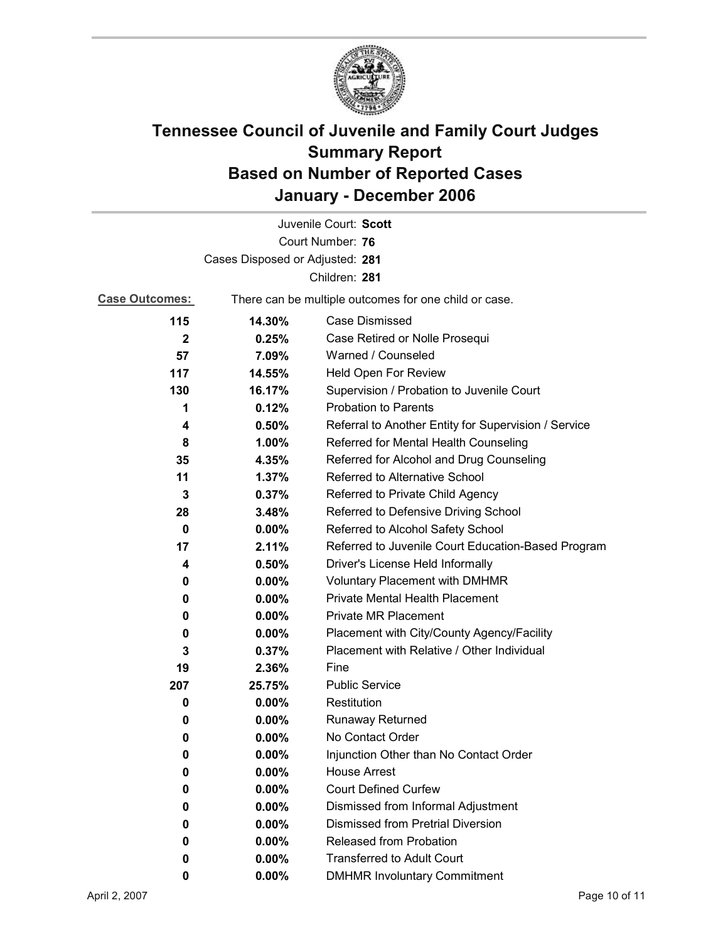

|                                 |          | Juvenile Court: Scott                                 |  |  |
|---------------------------------|----------|-------------------------------------------------------|--|--|
|                                 |          | Court Number: 76                                      |  |  |
| Cases Disposed or Adjusted: 281 |          |                                                       |  |  |
|                                 |          | Children: 281                                         |  |  |
| <b>Case Outcomes:</b>           |          | There can be multiple outcomes for one child or case. |  |  |
| 115                             | 14.30%   | <b>Case Dismissed</b>                                 |  |  |
| $\mathbf{2}$                    | 0.25%    | Case Retired or Nolle Prosequi                        |  |  |
| 57                              | 7.09%    | Warned / Counseled                                    |  |  |
| 117                             | 14.55%   | Held Open For Review                                  |  |  |
| 130                             | 16.17%   | Supervision / Probation to Juvenile Court             |  |  |
| 1                               | 0.12%    | <b>Probation to Parents</b>                           |  |  |
| 4                               | 0.50%    | Referral to Another Entity for Supervision / Service  |  |  |
| 8                               | 1.00%    | Referred for Mental Health Counseling                 |  |  |
| 35                              | 4.35%    | Referred for Alcohol and Drug Counseling              |  |  |
| 11                              | 1.37%    | Referred to Alternative School                        |  |  |
| 3                               | 0.37%    | Referred to Private Child Agency                      |  |  |
| 28                              | 3.48%    | Referred to Defensive Driving School                  |  |  |
| $\bf{0}$                        | $0.00\%$ | Referred to Alcohol Safety School                     |  |  |
| 17                              | 2.11%    | Referred to Juvenile Court Education-Based Program    |  |  |
| 4                               | 0.50%    | Driver's License Held Informally                      |  |  |
| 0                               | $0.00\%$ | <b>Voluntary Placement with DMHMR</b>                 |  |  |
| 0                               | $0.00\%$ | Private Mental Health Placement                       |  |  |
| 0                               | $0.00\%$ | <b>Private MR Placement</b>                           |  |  |
| 0                               | $0.00\%$ | Placement with City/County Agency/Facility            |  |  |
| 3                               | 0.37%    | Placement with Relative / Other Individual            |  |  |
| 19                              | 2.36%    | Fine                                                  |  |  |
| 207                             | 25.75%   | <b>Public Service</b>                                 |  |  |
| 0                               | $0.00\%$ | Restitution                                           |  |  |
| 0                               | $0.00\%$ | <b>Runaway Returned</b>                               |  |  |
| 0                               | $0.00\%$ | No Contact Order                                      |  |  |
| 0                               | 0.00%    | Injunction Other than No Contact Order                |  |  |
| 0                               | 0.00%    | <b>House Arrest</b>                                   |  |  |
| 0                               | $0.00\%$ | <b>Court Defined Curfew</b>                           |  |  |
| 0                               | $0.00\%$ | Dismissed from Informal Adjustment                    |  |  |
| 0                               | $0.00\%$ | <b>Dismissed from Pretrial Diversion</b>              |  |  |
| 0                               | 0.00%    | Released from Probation                               |  |  |
| 0                               | $0.00\%$ | <b>Transferred to Adult Court</b>                     |  |  |
| 0                               | $0.00\%$ | <b>DMHMR Involuntary Commitment</b>                   |  |  |